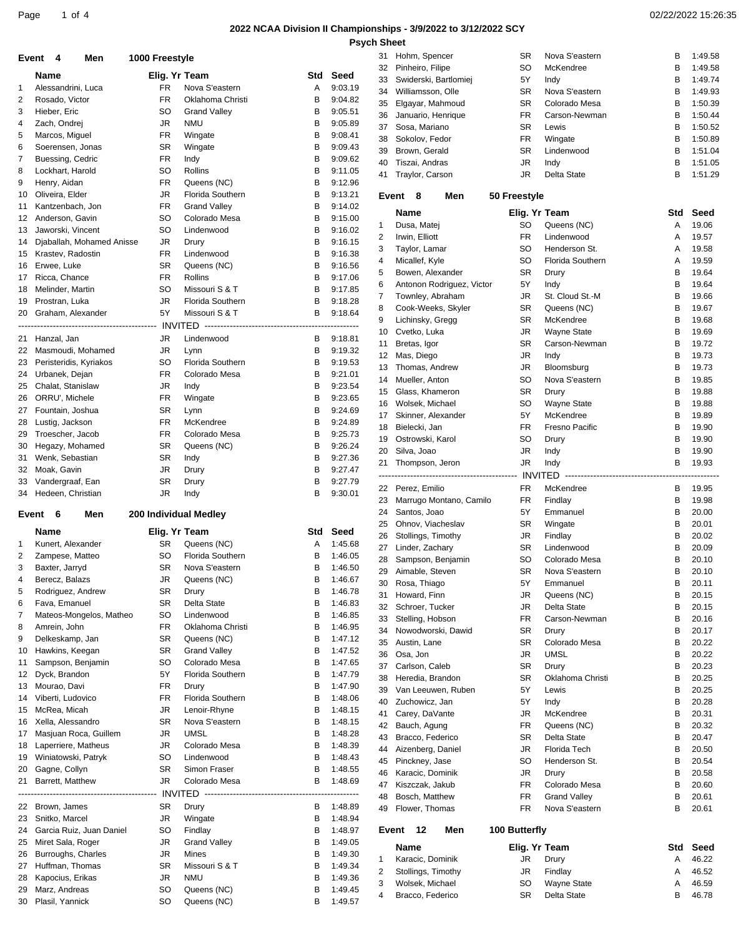# **2022 NCAA Division II Championships - 3/9/2022 to 3/12/2022 SCY**

**Psych Sheet**

| Page 1 of 4 |                                                                 | 02/22/2022 15:26:35 |
|-------------|-----------------------------------------------------------------|---------------------|
|             | 2022 NCAA Division II Championships - 3/9/2022 to 3/12/2022 SCY |                     |

|                | Event 4<br>Men                      | 1000 Freestyle  |                                      |                                        |                    | 31       | Hohm, Spencer                             | <b>SR</b>              | Nova S'eastern            | В      | 1:49.58            |
|----------------|-------------------------------------|-----------------|--------------------------------------|----------------------------------------|--------------------|----------|-------------------------------------------|------------------------|---------------------------|--------|--------------------|
|                | Name                                | Elig. Yr Team   |                                      | Std                                    | Seed               | 32       | Pinheiro, Filipe<br>Swiderski, Bartlomiej | <b>SO</b>              | McKendree                 | В<br>B | 1:49.58            |
| -1             | Alessandrini, Luca                  | <b>FR</b>       | Nova S'eastern                       | Α                                      | 9:03.19            | 33<br>34 | Williamsson, Olle                         | 5Y<br><b>SR</b>        | Indy<br>Nova S'eastern    | в      | 1:49.74<br>1:49.93 |
| 2              | Rosado, Victor                      | FR              | Oklahoma Christi                     | в                                      | 9:04.82            | 35       | Elgayar, Mahmoud                          | <b>SR</b>              | Colorado Mesa             | в      | 1:50.39            |
| 3              | Hieber, Eric                        | SO              | <b>Grand Valley</b>                  | B                                      | 9:05.51            | 36       | Januario, Henrique                        | FR                     | Carson-Newman             | в      | 1:50.44            |
| $\overline{4}$ | Zach, Ondrej                        | JR              | <b>NMU</b>                           | В                                      | 9:05.89            | 37       | Sosa, Mariano                             | <b>SR</b>              | Lewis                     | в      | 1:50.52            |
| 5              | Marcos, Miguel                      | FR              | Wingate                              | В                                      | 9:08.41            | 38       | Sokolov, Fedor                            | <b>FR</b>              | Wingate                   | в      | 1:50.89            |
| 6              | Soerensen, Jonas                    | SR              | Wingate                              | B                                      | 9:09.43            | 39       | Brown, Gerald                             | <b>SR</b>              | Lindenwood                | в      | 1:51.04            |
| 7              | Buessing, Cedric                    | <b>FR</b>       | Indy                                 | B                                      | 9:09.62            | 40       | Tiszai, Andras                            | <b>JR</b>              | Indy                      | B      | 1:51.05            |
| 8              | Lockhart, Harold                    | SO              | Rollins                              | В                                      | 9:11.05            | 41       | Traylor, Carson                           | JR                     | Delta State               | в      | 1:51.29            |
| 9              | Henry, Aidan                        | FR              | Queens (NC)                          | В                                      | 9:12.96            |          |                                           |                        |                           |        |                    |
| 10             | Oliveira, Elder                     | JR              | Florida Southern                     | В                                      | 9:13.21            |          | Event 8<br>Men                            | 50 Freestyle           |                           |        |                    |
| 11<br>12       | Kantzenbach, Jon<br>Anderson, Gavin | <b>FR</b><br>SO | <b>Grand Valley</b><br>Colorado Mesa | B<br>В                                 | 9:14.02<br>9:15.00 |          | <b>Name</b>                               | Elig. Yr Team          |                           | Std    | Seed               |
| 13             | Jaworski, Vincent                   | SO              | Lindenwood                           | B                                      | 9:16.02            | 1        | Dusa, Matej                               | <b>SO</b>              | Queens (NC)               | Α      | 19.06              |
| 14             | Djaballah, Mohamed Anisse           | JR              | Drury                                | B                                      | 9:16.15            | 2        | Irwin, Elliott                            | <b>FR</b>              | Lindenwood                | Α      | 19.57              |
| 15             | Krastev, Radostin                   | <b>FR</b>       | Lindenwood                           | в                                      | 9:16.38            | 3        | Taylor, Lamar                             | <b>SO</b>              | Henderson St.             | Α      | 19.58              |
| 16             | Erwee, Luke                         | <b>SR</b>       | Queens (NC)                          | в                                      | 9:16.56            | 4        | Micallef, Kyle                            | SO                     | Florida Southern          | Α      | 19.59              |
| 17             | Ricca, Chance                       | <b>FR</b>       | Rollins                              | B                                      | 9:17.06            | 5        | Bowen, Alexander                          | <b>SR</b>              | Drury                     | в      | 19.64              |
| 18             | Melinder, Martin                    | SO              | Missouri S & T                       | B                                      | 9:17.85            | 6        | Antonon Rodriguez, Victor                 | 5Y                     | Indy                      | в      | 19.64              |
| 19             | Prostran, Luka                      | JR              | <b>Florida Southern</b>              | B                                      | 9:18.28            | 7        | Townley, Abraham                          | JR                     | St. Cloud St.-M           | в      | 19.66              |
|                | 20 Graham, Alexander                | 5Y              | Missouri S & T                       | B                                      | 9:18.64            | 8        | Cook-Weeks, Skyler                        | <b>SR</b>              | Queens (NC)               | B      | 19.67              |
|                |                                     |                 |                                      | -------------------------------------- |                    | 9        | Lichinsky, Gregg                          | <b>SR</b>              | McKendree                 | B      | 19.68              |
|                | 21 Hanzal, Jan                      | JR              | Lindenwood                           | B                                      | 9:18.81            | 10       | Cvetko, Luka                              | JR                     | <b>Wayne State</b>        | в      | 19.69              |
|                | 22 Masmoudi, Mohamed                | JR              | Lynn                                 | B                                      | 9:19.32            | 11       | Bretas, Igor                              | <b>SR</b>              | Carson-Newman             | в      | 19.72              |
|                | 23 Peristeridis, Kyriakos           | SO              | <b>Florida Southern</b>              | В                                      | 9:19.53            | 12       | Mas, Diego                                | <b>JR</b>              | Indy                      | B      | 19.73              |
| 24             | Urbanek, Dejan                      | <b>FR</b>       | Colorado Mesa                        | в                                      | 9:21.01            | 13       | Thomas, Andrew<br>Mueller, Anton          | JR                     | Bloomsburg                | в      | 19.73<br>19.85     |
| 25             | Chalat, Stanislaw                   | JR              | Indy                                 | в                                      | 9:23.54            | 14<br>15 | Glass, Khameron                           | SO<br><b>SR</b>        | Nova S'eastern<br>Drury   | В<br>B | 19.88              |
| 26             | ORRU', Michele                      | <b>FR</b>       | Wingate                              | B                                      | 9:23.65            | 16       | Wolsek, Michael                           | <b>SO</b>              | <b>Wayne State</b>        | в      | 19.88              |
| 27             | Fountain, Joshua                    | <b>SR</b>       | Lynn                                 | в                                      | 9:24.69            | 17       | Skinner, Alexander                        | 5Y                     | McKendree                 | в      | 19.89              |
| 28             | Lustig, Jackson                     | FR              | McKendree                            | в                                      | 9:24.89            | 18       | Bielecki, Jan                             | <b>FR</b>              | Fresno Pacific            | B      | 19.90              |
| 29             | Troescher, Jacob                    | FR              | Colorado Mesa                        | B                                      | 9:25.73            | 19       | Ostrowski, Karol                          | <b>SO</b>              | Drury                     | в      | 19.90              |
| 30             | Hegazy, Mohamed                     | <b>SR</b>       | Queens (NC)                          | В                                      | 9:26.24            | 20       | Silva, Joao                               | JR                     | Indy                      | в      | 19.90              |
| 31             | Wenk, Sebastian                     | SR              | Indy                                 | в                                      | 9:27.36            | 21       | Thompson, Jeron                           | JR                     | Indy                      | В      | 19.93              |
|                | 32 Moak, Gavin                      | JR              | Drury                                | B                                      | 9:27.47            |          |                                           |                        | INVITED                   |        |                    |
| 33             | Vandergraaf, Ean                    | <b>SR</b>       | Drury                                | В                                      | 9:27.79            | 22       | Perez, Emilio                             | <b>FR</b>              | McKendree                 | В      | 19.95              |
| 34             | Hedeen, Christian                   | JR              | Indy                                 | B                                      | 9:30.01            | 23       | Marrugo Montano, Camilo                   | FR                     | Findlay                   | в      | 19.98              |
|                | Event 6<br>Men                      |                 | 200 Individual Medley                |                                        |                    | 24       | Santos, Joao                              | 5Y                     | Emmanuel                  | B      | 20.00              |
|                |                                     |                 |                                      |                                        |                    | 25       | Ohnov, Viacheslav                         | <b>SR</b>              | Wingate                   | в      | 20.01              |
|                | Name                                | Elig. Yr Team   |                                      | Std                                    | Seed               | 26       | Stollings, Timothy                        | JR                     | Findlay                   | В      | 20.02              |
| 1              | Kunert, Alexander                   | <b>SR</b>       | Queens (NC)                          | A                                      | 1:45.68            | 27       | Linder, Zachary                           | <b>SR</b>              | Lindenwood                | B      | 20.09              |
| 2              | Zampese, Matteo                     | SO              | <b>Florida Southern</b>              | В                                      | 1:46.05            | 28       | Sampson, Benjamin                         | <b>SO</b>              | Colorado Mesa             | в      | 20.10              |
| 3              | Baxter, Jarryd                      | <b>SR</b>       | Nova S'eastern                       | в<br>B                                 | 1:46.50<br>1:46.67 | 29       | Aimable, Steven                           | SR                     | Nova S'eastern            | В      | 20.10              |
| 4              | Berecz, Balazs                      | JR<br><b>SR</b> | Queens (NC)                          | В                                      | 1:46.78            | 30       | Rosa, Thiago                              | 5Υ                     | Emmanuel                  | В      | 20.11              |
| 5<br>6         | Rodriguez, Andrew<br>Fava, Emanuel  | <b>SR</b>       | Drury<br>Delta State                 | B                                      | 1:46.83            | 31       | Howard, Finn                              | JR                     | Queens (NC)               | B      | 20.15              |
| 7              | Mateos-Mongelos, Matheo             | SO              | Lindenwood                           | B                                      | 1:46.85            | 32       | Schroer, Tucker                           | JR                     | Delta State               | В      | 20.15              |
| 8              | Amrein, John                        | <b>FR</b>       | Oklahoma Christi                     | В                                      | 1:46.95            | 33       | Stelling, Hobson                          | FR                     | Carson-Newman             | В      | 20.16              |
| 9              | Delkeskamp, Jan                     | SR              | Queens (NC)                          | В                                      | 1:47.12            | 34       | Nowodworski, Dawid                        | <b>SR</b>              | Drury                     | В      | 20.17              |
| 10             | Hawkins, Keegan                     | SR              | <b>Grand Valley</b>                  | В                                      | 1:47.52            | 35       | Austin, Lane                              | <b>SR</b>              | Colorado Mesa             | В      | 20.22              |
| 11             | Sampson, Benjamin                   | SO              | Colorado Mesa                        | В                                      | 1:47.65            | 36       | Osa, Jon                                  | JR                     | <b>UMSL</b>               | B      | 20.22              |
| 12             | Dyck, Brandon                       | 5Y              | Florida Southern                     | В                                      | 1:47.79            | 37<br>38 | Carlson, Caleb<br>Heredia, Brandon        | <b>SR</b><br><b>SR</b> | Drury<br>Oklahoma Christi | B<br>В | 20.23<br>20.25     |
| 13             | Mourao, Davi                        | FR              | Drury                                | В                                      | 1:47.90            | 39       | Van Leeuwen, Ruben                        | 5Υ                     | Lewis                     | В      | 20.25              |
| 14             | Viberti, Ludovico                   | FR              | Florida Southern                     | В                                      | 1:48.06            | 40       | Zuchowicz, Jan                            | 5Υ                     | Indy                      | в      | 20.28              |
| 15             | McRea, Micah                        | JR              | Lenoir-Rhyne                         | В                                      | 1:48.15            | 41       | Carey, DaVante                            | JR                     | McKendree                 | В      | 20.31              |
| 16             | Xella, Alessandro                   | <b>SR</b>       | Nova S'eastern                       | В                                      | 1:48.15            | 42       | Bauch, Agung                              | FR                     | Queens (NC)               | В      | 20.32              |
| 17             | Masjuan Roca, Guillem               | JR              | <b>UMSL</b>                          | В                                      | 1:48.28            | 43       | Bracco, Federico                          | <b>SR</b>              | Delta State               | в      | 20.47              |
| 18             | Laperriere, Matheus                 | JR              | Colorado Mesa                        | B                                      | 1:48.39            | 44       | Aizenberg, Daniel                         | JR                     | Florida Tech              | B      | 20.50              |
| 19             | Winiatowski, Patryk                 | SO              | Lindenwood                           | B                                      | 1:48.43            | 45       | Pinckney, Jase                            | <b>SO</b>              | Henderson St.             | В      | 20.54              |
| 20             | Gagne, Collyn                       | SR              | Simon Fraser                         | В                                      | 1:48.55            | 46       | Karacic, Dominik                          | JR                     | Drury                     | в      | 20.58              |
| 21             | Barrett, Matthew                    | JR              | Colorado Mesa                        | В                                      | 1:48.69            | 47       | Kiszczak, Jakub                           | FR                     | Colorado Mesa             | В      | 20.60              |
|                |                                     |                 |                                      |                                        | ---------          | 48       | Bosch, Matthew                            | <b>FR</b>              | <b>Grand Valley</b>       | В      | 20.61              |
|                | 22 Brown, James                     | SR              | Drury                                | В                                      | 1:48.89            | 49       | Flower, Thomas                            | FR                     | Nova S'eastern            | В      | 20.61              |
| 23             | Snitko, Marcel                      | JR              | Wingate                              | В                                      | 1:48.94            |          |                                           |                        |                           |        |                    |
| 24             | Garcia Ruiz, Juan Daniel            | SO              | Findlay                              | В                                      | 1:48.97            |          | Event 12<br>Men                           | 100 Butterfly          |                           |        |                    |
| 25             | Miret Sala, Roger                   | JR              | <b>Grand Valley</b>                  | В                                      | 1:49.05            |          | Name                                      | Elig. Yr Team          |                           | Std    | Seed               |
| 26             | Burroughs, Charles                  | JR              | Mines                                | В                                      | 1:49.30            | 1        | Karacic, Dominik                          | JR                     | Drury                     | Α      | 46.22              |
| 27             | Huffman, Thomas                     | <b>SR</b>       | Missouri S & T                       | В                                      | 1:49.34            | 2        | Stollings, Timothy                        | JR                     | Findlay                   | Α      | 46.52              |
| 28             | Kapocius, Erikas                    | <b>JR</b>       | <b>NMU</b>                           | В                                      | 1:49.36            | 3        | Wolsek, Michael                           | SO                     | <b>Wayne State</b>        | Α      | 46.59              |
| 29             | Marz, Andreas                       | SO              | Queens (NC)                          | В<br>В                                 | 1:49.45            | 4        | Bracco, Federico                          | SR                     | Delta State               | в      | 46.78              |
|                | 30 Plasil, Yannick                  | SO              | Queens (NC)                          |                                        | 1:49.57            |          |                                           |                        |                           |        |                    |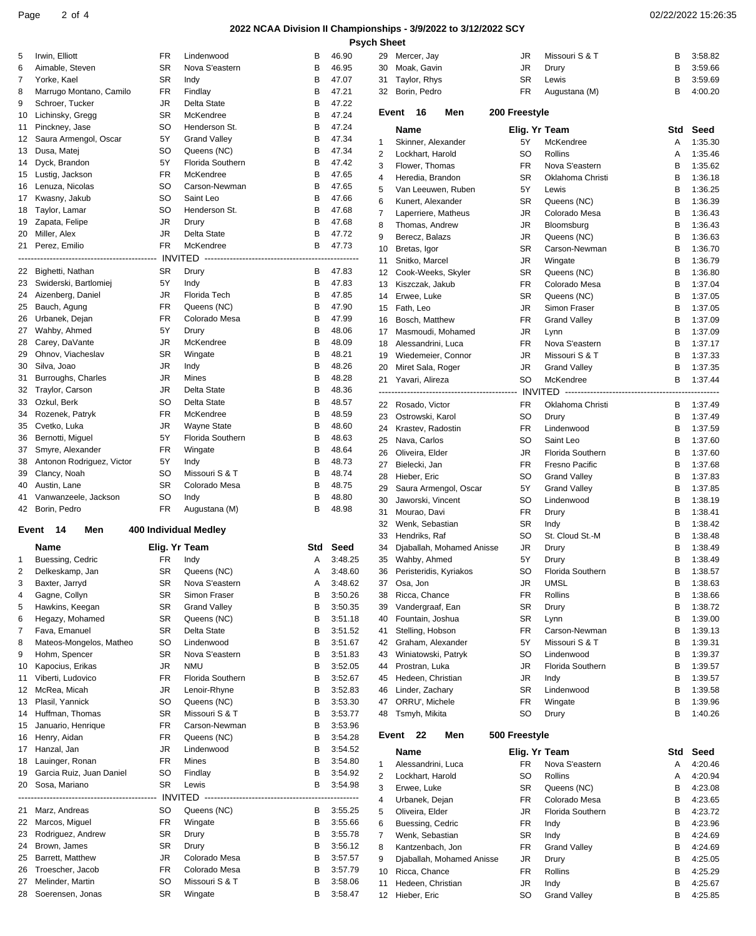### Page 2 of 4 02/22/2022 15:26:35

#### **2022 NCAA Division II Championships - 3/9/2022 to 3/12/2022 SCY Psych Sheet**

| 5  | Irwin, Elliott                          | FR              | Lindenwood                   | в      | 46.90              |                | 29 Mercer, Jay                       |                                        | JR            | Missouri S & T              | В      | 3:58.82            |
|----|-----------------------------------------|-----------------|------------------------------|--------|--------------------|----------------|--------------------------------------|----------------------------------------|---------------|-----------------------------|--------|--------------------|
| 6  | Aimable, Steven                         | <b>SR</b>       | Nova S'eastern               | В      | 46.95              | 30             | Moak, Gavin                          |                                        | <b>JR</b>     | Drury                       | B      | 3:59.66            |
| 7  | Yorke, Kael                             | SR              | Indy                         | В      | 47.07              | 31             | Taylor, Rhys                         |                                        | <b>SR</b>     | Lewis                       | В      | 3:59.69            |
| 8  | Marrugo Montano, Camilo                 | FR              | Findlay                      | В      | 47.21              | 32             | Borin, Pedro                         |                                        | FR            | Augustana (M)               | B      | 4:00.20            |
| 9  | Schroer, Tucker                         | <b>JR</b>       | Delta State                  | В      | 47.22              |                |                                      |                                        |               |                             |        |                    |
| 10 | Lichinsky, Gregg                        | <b>SR</b>       | McKendree                    | B      | 47.24              |                | Event 16                             | Men                                    | 200 Freestyle |                             |        |                    |
| 11 | Pinckney, Jase                          | <b>SO</b>       | Henderson St.                | В      | 47.24              |                |                                      |                                        |               |                             |        |                    |
| 12 | Saura Armengol, Oscar                   | 5Y              | <b>Grand Valley</b>          | В      | 47.34              |                | Name                                 |                                        | Elig. Yr Team |                             | Std    | Seed               |
| 13 | Dusa, Matej                             | SO              | Queens (NC)                  | в      | 47.34              | 1              | Skinner, Alexander                   |                                        | 5Y            | McKendree                   | Α      | 1:35.30            |
| 14 | Dyck, Brandon                           | 5Y              | Florida Southern             | В      | 47.42              | 2              | Lockhart, Harold                     |                                        | SO            | Rollins                     | А      | 1:35.46            |
|    |                                         | FR              | McKendree                    | в      |                    | 3              | Flower, Thomas                       |                                        | <b>FR</b>     | Nova S'eastern              | В      | 1:35.62            |
| 15 | Lustig, Jackson                         | <b>SO</b>       |                              | B      | 47.65              | 4              | Heredia, Brandon                     |                                        | <b>SR</b>     | Oklahoma Christi            | В      | 1:36.18            |
| 16 | Lenuza, Nicolas                         |                 | Carson-Newman                |        | 47.65              | 5              |                                      | Van Leeuwen, Ruben                     | 5Y            | Lewis                       | В      | 1:36.25            |
|    | 17 Kwasny, Jakub                        | <b>SO</b>       | Saint Leo                    | B      | 47.66              | 6              | Kunert, Alexander                    |                                        | <b>SR</b>     | Queens (NC)                 | В      | 1:36.39            |
| 18 | Taylor, Lamar                           | SO              | Henderson St.                | в      | 47.68              | $\overline{7}$ | Laperriere, Matheus                  |                                        | JR            | Colorado Mesa               | В      | 1:36.43            |
| 19 | Zapata, Felipe                          | JR              | Drury                        | B      | 47.68              | 8              | Thomas, Andrew                       |                                        | JR            | Bloomsburg                  | В      | 1:36.43            |
| 20 | Miller, Alex                            | <b>JR</b>       | Delta State                  | B      | 47.72              | 9              | Berecz, Balazs                       |                                        | JR            | Queens (NC)                 | В      | 1:36.63            |
|    | 21 Perez, Emilio                        | FR.             | McKendree                    | в      | 47.73              | 10             | Bretas, Igor                         |                                        | <b>SR</b>     | Carson-Newman               | В      | 1:36.70            |
|    |                                         |                 |                              |        |                    | 11             | Snitko, Marcel                       |                                        | JR            | Wingate                     | В      | 1:36.79            |
|    | 22 Bighetti, Nathan                     | <b>SR</b>       | Drury                        | В      | 47.83              | 12             | Cook-Weeks, Skyler                   |                                        | SR            | Queens (NC)                 | В      | 1:36.80            |
|    | 23 Swiderski, Bartlomiej                | 5Y              | Indy                         | в      | 47.83              | 13             | Kiszczak, Jakub                      |                                        | <b>FR</b>     | Colorado Mesa               | В      | 1:37.04            |
| 24 | Aizenberg, Daniel                       | JR              | Florida Tech                 | В      | 47.85              | 14             | Erwee, Luke                          |                                        | <b>SR</b>     | Queens (NC)                 | В      | 1:37.05            |
| 25 | Bauch, Agung                            | FR.             | Queens (NC)                  | В      | 47.90              | 15             | Fath, Leo                            |                                        | JR            | Simon Fraser                | В      | 1:37.05            |
| 26 | Urbanek, Dejan                          | FR.             | Colorado Mesa                | В      | 47.99              | 16             | Bosch, Matthew                       |                                        | <b>FR</b>     | <b>Grand Valley</b>         | В      | 1:37.09            |
|    | 27 Wahby, Ahmed                         | 5Y              | Drury                        | В      | 48.06              | 17             | Masmoudi, Mohamed                    |                                        | JR            | Lynn                        | В      | 1:37.09            |
| 28 | Carey, DaVante                          | JR              | McKendree                    | В      | 48.09              | 18             | Alessandrini, Luca                   |                                        | <b>FR</b>     | Nova S'eastern              | В      | 1:37.17            |
| 29 | Ohnov, Viacheslav                       | <b>SR</b>       | Wingate                      | В      | 48.21              |                |                                      |                                        |               |                             |        |                    |
| 30 | Silva, Joao                             | JR              | Indy                         | В      | 48.26              | 19             | Wiedemeier, Connor                   |                                        | JR            | Missouri S & T              | В<br>B | 1:37.33            |
| 31 | Burroughs, Charles                      | JR              | Mines                        | В      | 48.28              | 20             | Miret Sala, Roger                    |                                        | JR            | <b>Grand Valley</b>         |        | 1:37.35            |
|    |                                         |                 |                              |        |                    | 21             | Yavari, Alireza                      |                                        | <b>SO</b>     | McKendree                   | В      | 1:37.44            |
| 32 | Traylor, Carson                         | JR              | Delta State                  | В      | 48.36              |                |                                      | -------------------------------------- |               |                             |        |                    |
| 33 | Ozkul, Berk                             | SO              | Delta State                  | В      | 48.57              |                | 22 Rosado, Victor                    |                                        | <b>FR</b>     | Oklahoma Christi            | В      | 1:37.49            |
| 34 | Rozenek, Patryk                         | FR              | McKendree                    | B      | 48.59              | 23             | Ostrowski, Karol                     |                                        | <b>SO</b>     | Drury                       | В      | 1:37.49            |
| 35 | Cvetko, Luka                            | JR              | Wayne State                  | B      | 48.60              | 24             | Krastev, Radostin                    |                                        | FR            | Lindenwood                  | В      | 1:37.59            |
| 36 | Bernotti, Miguel                        | 5Y              | Florida Southern             | В      | 48.63              | 25             | Nava, Carlos                         |                                        | <b>SO</b>     | Saint Leo                   | В      | 1:37.60            |
| 37 | Smyre, Alexander                        | FR              | Wingate                      | В      | 48.64              | 26             | Oliveira, Elder                      |                                        | JR            | Florida Southern            | В      | 1:37.60            |
| 38 | Antonon Rodriguez, Victor               | 5Y              | Indy                         | В      | 48.73              | 27             | Bielecki, Jan                        |                                        | <b>FR</b>     | <b>Fresno Pacific</b>       | В      | 1:37.68            |
| 39 | Clancy, Noah                            | SO              | Missouri S & T               | в      | 48.74              | 28             | Hieber, Eric                         |                                        | <b>SO</b>     | <b>Grand Valley</b>         | В      | 1:37.83            |
| 40 | Austin, Lane                            | <b>SR</b>       | Colorado Mesa                | В      | 48.75              | 29             |                                      | Saura Armengol, Oscar                  | 5Y            | <b>Grand Valley</b>         | В      | 1:37.85            |
| 41 | Vanwanzeele, Jackson                    | <b>SO</b>       | Indy                         | B      | 48.80              | 30             | Jaworski, Vincent                    |                                        | SO            | Lindenwood                  | В      | 1:38.19            |
|    | 42 Borin, Pedro                         | <b>FR</b>       | Augustana (M)                | B      | 48.98              | 31             | Mourao, Davi                         |                                        | <b>FR</b>     | Drury                       | В      | 1:38.41            |
|    |                                         |                 |                              |        |                    | 32             | Wenk, Sebastian                      |                                        | <b>SR</b>     | Indy                        | в      | 1:38.42            |
|    | Event 14<br>Men                         |                 | <b>400 Individual Medlev</b> |        |                    | 33             | Hendriks, Raf                        |                                        | SO            | St. Cloud St.-M             | В      | 1:38.48            |
|    | <b>Name</b>                             | Elig. Yr Team   |                              | Std    | Seed               | 34             |                                      | Djaballah, Mohamed Anisse              | JR            | Drury                       | В      | 1:38.49            |
| 1  | Buessing, Cedric                        | FR              | Indy                         |        | 3:48.25            | 35             | Wahby, Ahmed                         |                                        | 5Y            | Drury                       | B      | 1:38.49            |
| 2  | Delkeskamp, Jan                         | <b>SR</b>       | Queens (NC)                  | A      | 3:48.60            | 36             | Peristeridis, Kyriakos               |                                        | <b>SO</b>     | <b>Florida Southern</b>     | B      | 1:38.57            |
|    |                                         |                 | Nova S'eastern               |        | 3:48.62            |                |                                      |                                        | <b>JR</b>     | <b>UMSL</b>                 | в      |                    |
| 3  | Baxter, Jarryd                          | SR              |                              | Α<br>B |                    | 37             | Osa, Jon                             |                                        |               |                             | B      | 1:38.63            |
| 4  | Gagne, Collyn                           | <b>SR</b>       | Simon Fraser                 |        | 3:50.26            | 38             | Ricca, Chance                        |                                        | <b>FR</b>     | Rollins                     |        | 1:38.66            |
| 5  | Hawkins, Keegan                         | <b>SR</b>       | <b>Grand Valley</b>          | В      | 3:50.35            | 39             | Vandergraaf, Ean                     |                                        | <b>SR</b>     | Drury                       | B      | 1:38.72            |
| 6  | Hegazy, Mohamed                         | <b>SR</b>       | Queens (NC)                  | В      | 3:51.18            | 40             | Fountain, Joshua                     |                                        | <b>SR</b>     | Lynn                        | B      | 1:39.00            |
| 7  | Fava, Emanuel                           | SR              | Delta State                  | В      | 3:51.52            | 41             | Stelling, Hobson                     |                                        | FR            | Carson-Newman               | в      | 1:39.13            |
| 8  | Mateos-Mongelos, Matheo                 | SO              | Lindenwood                   | В      | 3:51.67            | 42             | Graham, Alexander                    |                                        | 5Y            | Missouri S & T              | B      | 1:39.31            |
| 9  | Hohm, Spencer                           | <b>SR</b>       | Nova S'eastern               | В      | 3:51.83            | 43             | Winiatowski, Patryk                  |                                        | SO            | Lindenwood                  | В      | 1:39.37            |
| 10 | Kapocius, Erikas                        | JR              | <b>NMU</b>                   | В      | 3:52.05            | 44             | Prostran, Luka                       |                                        | JR            | Florida Southern            | в      | 1:39.57            |
| 11 | Viberti, Ludovico                       | FR              | Florida Southern             | В      | 3:52.67            | 45             | Hedeen, Christian                    |                                        | JR            | Indy                        | B      | 1:39.57            |
| 12 | McRea, Micah                            | JR              | Lenoir-Rhyne                 | В      | 3:52.83            | 46             | Linder, Zachary                      |                                        | <b>SR</b>     | Lindenwood                  | В      | 1:39.58            |
| 13 | Plasil, Yannick                         | <b>SO</b>       | Queens (NC)                  | В      | 3:53.30            | 47             | ORRU', Michele                       |                                        | <b>FR</b>     | Wingate                     | B      | 1:39.96            |
|    | 14 Huffman, Thomas                      | <b>SR</b>       | Missouri S & T               | В      | 3:53.77            | 48             | Tsmyh, Mikita                        |                                        | <b>SO</b>     | Drury                       | В      | 1:40.26            |
| 15 | Januario, Henrique                      | FR              | Carson-Newman                | В      | 3:53.96            |                |                                      |                                        |               |                             |        |                    |
| 16 | Henry, Aidan                            | <b>FR</b>       | Queens (NC)                  | В      | 3:54.28            |                | Event 22                             | Men                                    | 500 Freestyle |                             |        |                    |
|    |                                         |                 | Lindenwood                   | В      | 3:54.52            |                | Name                                 |                                        | Elig. Yr Team |                             | Std    | Seed               |
| 18 | 17 Hanzal, Jan                          | JR              |                              |        |                    |                |                                      |                                        |               |                             |        | 4:20.46            |
| 19 |                                         |                 |                              |        |                    |                |                                      |                                        |               |                             |        |                    |
|    | Lauinger, Ronan                         | FR              | Mines                        | В      | 3:54.80            | 1              |                                      | Alessandrini, Luca                     | FR            | Nova S'eastern              | Α      |                    |
|    | Garcia Ruiz, Juan Daniel                | SO              | Findlay                      | В      | 3:54.92            | $\overline{2}$ | Lockhart, Harold                     |                                        | SO            | Rollins                     | Α      | 4:20.94            |
|    | 20 Sosa, Mariano                        | <b>SR</b>       | Lewis                        | в      | 3:54.98            | 3              | Erwee, Luke                          |                                        | <b>SR</b>     | Queens (NC)                 | В      | 4:23.08            |
|    | -------------------                     | - INVITED       |                              |        |                    | 4              | Urbanek, Dejan                       |                                        | FR            | Colorado Mesa               | В      | 4:23.65            |
|    | 21 Marz, Andreas                        | SO              | Queens (NC)                  | В      | 3:55.25            | 5              | Oliveira, Elder                      |                                        | JR            | Florida Southern            | В      | 4:23.72            |
|    | 22 Marcos, Miguel                       | FR              | Wingate                      | В      | 3:55.66            | 6              | Buessing, Cedric                     |                                        | <b>FR</b>     | Indy                        | В      | 4:23.96            |
| 23 | Rodriguez, Andrew                       | <b>SR</b>       | Drury                        | В      | 3:55.78            | $\overline{7}$ | Wenk, Sebastian                      |                                        | <b>SR</b>     | Indy                        | В      | 4:24.69            |
| 24 | Brown, James                            | <b>SR</b>       | Drury                        | В      | 3:56.12            | 8              | Kantzenbach, Jon                     |                                        | <b>FR</b>     | <b>Grand Valley</b>         | В      | 4:24.69            |
| 25 | Barrett, Matthew                        | JR              | Colorado Mesa                | В      | 3:57.57            | 9              |                                      | Djaballah, Mohamed Anisse              | JR            | Drury                       | В      | 4:25.05            |
| 26 | Troescher, Jacob                        | FR              | Colorado Mesa                | В      | 3:57.79            | 10             | Ricca, Chance                        |                                        | FR            | Rollins                     | B      | 4:25.29            |
| 27 | Melinder, Martin<br>28 Soerensen, Jonas | SO<br><b>SR</b> | Missouri S & T<br>Wingate    | В<br>в | 3:58.06<br>3:58.47 | 11             | Hedeen, Christian<br>12 Hieber, Eric |                                        | JR<br>SO      | Indy<br><b>Grand Valley</b> | В<br>В | 4:25.67<br>4:25.85 |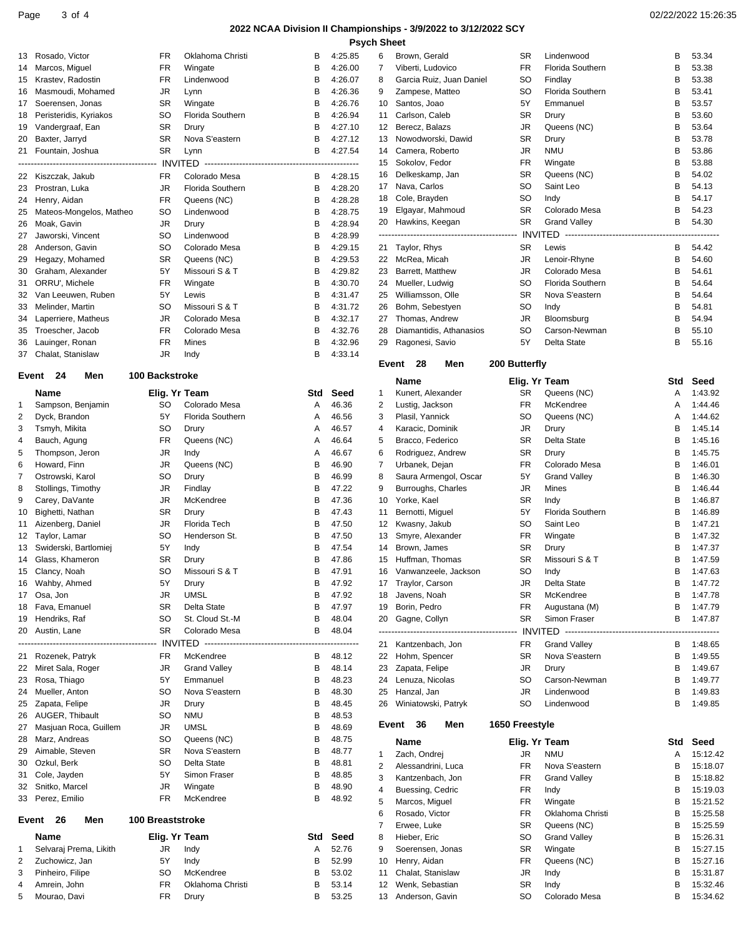#### **2022 NCAA Division II Championships - 3/9/2022 to 3/12/2022 SCY Psych Sheet**

|    |                               |                         |                         |                                       |         | rsyun əneet    |                          |                |                         |                                      |          |
|----|-------------------------------|-------------------------|-------------------------|---------------------------------------|---------|----------------|--------------------------|----------------|-------------------------|--------------------------------------|----------|
| 13 | Rosado, Victor                | FR                      | Oklahoma Christi        | в                                     | 4:25.85 | 6              | Brown, Gerald            | <b>SR</b>      | Lindenwood              | В                                    | 53.34    |
| 14 | Marcos, Miguel                | FR                      | Wingate                 | В                                     | 4:26.00 | $\overline{7}$ | Viberti, Ludovico        | <b>FR</b>      | <b>Florida Southern</b> | B                                    | 53.38    |
|    | Krastev, Radostin             | <b>FR</b>               | Lindenwood              | В                                     |         |                |                          | <b>SO</b>      | Findlay                 | В                                    | 53.38    |
| 15 |                               |                         |                         |                                       | 4:26.07 | 8              | Garcia Ruiz, Juan Daniel |                |                         |                                      |          |
| 16 | Masmoudi, Mohamed             | <b>JR</b>               | Lynn                    | В                                     | 4:26.36 | 9              | Zampese, Matteo          | <b>SO</b>      | Florida Southern        | В                                    | 53.41    |
| 17 | Soerensen, Jonas              | <b>SR</b>               | Wingate                 | В                                     | 4:26.76 | 10             | Santos, Joao             | 5Y             | Emmanuel                | В                                    | 53.57    |
| 18 | Peristeridis, Kyriakos        | <b>SO</b>               | <b>Florida Southern</b> | В                                     | 4:26.94 | 11             | Carlson, Caleb           | SR             | Drury                   | В                                    | 53.60    |
|    |                               |                         |                         |                                       |         |                |                          |                |                         |                                      |          |
| 19 | Vandergraaf, Ean              | <b>SR</b>               | Drury                   | B                                     | 4:27.10 | 12             | Berecz, Balazs           | <b>JR</b>      | Queens (NC)             | B                                    | 53.64    |
| 20 | Baxter, Jarryd                | <b>SR</b>               | Nova S'eastern          | В                                     | 4:27.12 | 13             | Nowodworski, Dawid       | <b>SR</b>      | Drury                   | В                                    | 53.78    |
| 21 | Fountain, Joshua              | <b>SR</b>               | Lynn                    | в                                     | 4:27.54 | 14             | Camera, Roberto          | JR             | <b>NMU</b>              | В                                    | 53.86    |
|    | ----------------------------- | INVITED                 |                         | ------------------------------------- | ------  | 15             | Sokolov, Fedor           | FR             | Wingate                 | B                                    | 53.88    |
|    |                               |                         |                         |                                       |         |                |                          |                |                         |                                      |          |
| 22 | Kiszczak, Jakub               | <b>FR</b>               | Colorado Mesa           | В                                     | 4:28.15 | 16             | Delkeskamp, Jan          | <b>SR</b>      | Queens (NC)             | B                                    | 54.02    |
| 23 | Prostran, Luka                | JR                      | Florida Southern        | В                                     | 4:28.20 | 17             | Nava, Carlos             | SO             | Saint Leo               | В                                    | 54.13    |
| 24 | Henry, Aidan                  | <b>FR</b>               | Queens (NC)             | В                                     | 4:28.28 | 18             | Cole, Brayden            | <b>SO</b>      | Indy                    | B                                    | 54.17    |
|    |                               |                         |                         |                                       |         |                |                          | <b>SR</b>      | Colorado Mesa           | B                                    | 54.23    |
| 25 | Mateos-Mongelos, Matheo       | <b>SO</b>               | Lindenwood              | в                                     | 4:28.75 | 19             | Elgayar, Mahmoud         |                |                         |                                      |          |
| 26 | Moak, Gavin                   | JR                      | Drury                   | В                                     | 4:28.94 | 20             | Hawkins, Keegan          | <b>SR</b>      | <b>Grand Valley</b>     | В                                    | 54.30    |
| 27 | Jaworski, Vincent             | <b>SO</b>               | Lindenwood              | в                                     | 4:28.99 |                |                          |                | ED.                     | ------------------------------------ |          |
|    |                               | <b>SO</b>               | Colorado Mesa           | В                                     | 4:29.15 |                | Taylor, Rhys             | <b>SR</b>      |                         | В                                    | 54.42    |
| 28 | Anderson, Gavin               |                         |                         |                                       |         | 21             |                          |                | Lewis                   |                                      |          |
| 29 | Hegazy, Mohamed               | <b>SR</b>               | Queens (NC)             | В                                     | 4:29.53 | 22             | McRea, Micah             | <b>JR</b>      | Lenoir-Rhyne            | В                                    | 54.60    |
| 30 | Graham, Alexander             | 5Y                      | Missouri S & T          | в                                     | 4:29.82 | 23             | Barrett, Matthew         | <b>JR</b>      | Colorado Mesa           | В                                    | 54.61    |
| 31 | ORRU', Michele                | <b>FR</b>               | Wingate                 | В                                     | 4:30.70 | 24             | Mueller, Ludwig          | <b>SO</b>      | Florida Southern        | В                                    | 54.64    |
|    |                               |                         |                         |                                       |         |                |                          |                |                         |                                      |          |
| 32 | Van Leeuwen, Ruben            | 5Y                      | Lewis                   | В                                     | 4:31.47 | 25             | Williamsson, Olle        | <b>SR</b>      | Nova S'eastern          | В                                    | 54.64    |
| 33 | Melinder, Martin              | <b>SO</b>               | Missouri S & T          | в                                     | 4:31.72 | 26             | Bohm, Sebestyen          | SO             | Indy                    | В                                    | 54.81    |
| 34 | Laperriere, Matheus           | <b>JR</b>               | Colorado Mesa           | В                                     | 4:32.17 | 27             | Thomas, Andrew           | <b>JR</b>      | Bloomsburg              | В                                    | 54.94    |
|    |                               | <b>FR</b>               | Colorado Mesa           |                                       |         |                | Diamantidis, Athanasios  | <b>SO</b>      | Carson-Newman           | B                                    |          |
| 35 | Troescher, Jacob              |                         |                         | В                                     | 4:32.76 | 28             |                          |                |                         |                                      | 55.10    |
| 36 | Lauinger, Ronan               | FR                      | Mines                   | B                                     | 4:32.96 | 29             | Ragonesi, Savio          | 5Y             | Delta State             | В                                    | 55.16    |
| 37 | Chalat, Stanislaw             | JR                      | Indy                    | В                                     | 4:33.14 |                |                          |                |                         |                                      |          |
|    |                               |                         |                         |                                       |         |                | Event 28<br>Men          | 200 Butterfly  |                         |                                      |          |
|    | Event 24<br>Men               | 100 Backstroke          |                         |                                       |         |                |                          |                |                         |                                      |          |
|    |                               |                         |                         |                                       |         |                | <b>Name</b>              | Elig. Yr Team  |                         | Std                                  | Seed     |
|    | Name                          | Elig. Yr Team           |                         | Std                                   | Seed    | 1              | Kunert, Alexander        | <b>SR</b>      | Queens (NC)             | Α                                    | 1:43.92  |
| 1  | Sampson, Benjamin             | <b>SO</b>               | Colorado Mesa           | A                                     | 46.36   | $\overline{2}$ | Lustig, Jackson          | <b>FR</b>      | McKendree               | Α                                    | 1:44.46  |
|    |                               |                         |                         |                                       |         |                |                          |                |                         |                                      |          |
| 2  | Dyck, Brandon                 | 5Y                      | Florida Southern        | Α                                     | 46.56   | 3              | Plasil, Yannick          | SO             | Queens (NC)             | Α                                    | 1:44.62  |
| 3  | Tsmyh, Mikita                 | <b>SO</b>               | Drury                   | Α                                     | 46.57   | 4              | Karacic, Dominik         | <b>JR</b>      | Drury                   | В                                    | 1:45.14  |
| 4  | Bauch, Agung                  | <b>FR</b>               | Queens (NC)             | Α                                     | 46.64   | 5              | Bracco, Federico         | <b>SR</b>      | Delta State             | В                                    | 1:45.16  |
|    |                               |                         |                         |                                       |         |                |                          |                |                         |                                      |          |
| 5  | Thompson, Jeron               | JR                      | Indy                    | Α                                     | 46.67   | 6              | Rodriguez, Andrew        | <b>SR</b>      | Drury                   | В                                    | 1:45.75  |
| 6  | Howard, Finn                  | JR                      | Queens (NC)             | В                                     | 46.90   | 7              | Urbanek, Dejan           | FR             | Colorado Mesa           | В                                    | 1:46.01  |
| 7  | Ostrowski, Karol              | <b>SO</b>               | Drury                   | В                                     | 46.99   | 8              | Saura Armengol, Oscar    | 5Y             | <b>Grand Valley</b>     | В                                    | 1:46.30  |
|    |                               |                         |                         |                                       |         |                |                          |                |                         |                                      |          |
| 8  | Stollings, Timothy            | JR                      | Findlay                 | В                                     | 47.22   | 9              | Burroughs, Charles       | <b>JR</b>      | Mines                   | В                                    | 1:46.44  |
| 9  | Carey, DaVante                | JR                      | McKendree               | В                                     | 47.36   | 10             | Yorke, Kael              | <b>SR</b>      | Indy                    | В                                    | 1:46.87  |
| 10 | Bighetti, Nathan              | <b>SR</b>               | Drury                   | В                                     | 47.43   | 11             | Bernotti, Miguel         | 5Y             | <b>Florida Southern</b> | В                                    | 1:46.89  |
|    |                               |                         |                         |                                       |         |                |                          |                |                         |                                      |          |
| 11 | Aizenberg, Daniel             | <b>JR</b>               | Florida Tech            | В                                     | 47.50   | 12             | Kwasny, Jakub            | <b>SO</b>      | Saint Leo               | В                                    | 1:47.21  |
| 12 | Taylor, Lamar                 | <b>SO</b>               | Henderson St.           | В                                     | 47.50   | 13             | Smyre, Alexander         | FR             | Wingate                 | В                                    | 1:47.32  |
| 13 | Swiderski, Bartlomiej         | 5Y                      | Indy                    | В                                     | 47.54   | 14             | Brown, James             | <b>SR</b>      | Drury                   | В                                    | 1:47.37  |
|    |                               |                         |                         | в                                     |         |                |                          | <b>SR</b>      |                         |                                      | 1:47.59  |
| 14 | Glass, Khameron               | <b>SR</b>               | Drury                   |                                       | 47.86   | 15             | Huffman, Thomas          |                | Missouri S & T          | В                                    |          |
|    | 15 Clancy, Noah               | SO.                     | Missouri S & T          | В                                     | 47.91   |                | 16 Vanwanzeele, Jackson  | SO             | Indy                    | B                                    | 1:47.63  |
| 16 | Wahby, Ahmed                  | 5Υ                      | Drury                   | В                                     | 47.92   |                | 17 Traylor, Carson       | JR             | Delta State             | В                                    | 1:47.72  |
| 17 | Osa, Jon                      | <b>JR</b>               | <b>UMSL</b>             | В                                     | 47.92   | 18             | Javens, Noah             | <b>SR</b>      | McKendree               | B                                    | 1:47.78  |
|    |                               |                         |                         |                                       |         |                |                          |                |                         |                                      |          |
| 18 | Fava, Emanuel                 | <b>SR</b>               | Delta State             | В                                     | 47.97   | 19             | Borin, Pedro             | <b>FR</b>      | Augustana (M)           | В                                    | 1:47.79  |
| 19 | Hendriks, Raf                 | <b>SO</b>               | St. Cloud St.-M         | В                                     | 48.04   | 20             | Gagne, Collyn            | <b>SR</b>      | Simon Fraser            | в                                    | 1:47.87  |
| 20 | Austin, Lane                  | <b>SR</b>               | Colorado Mesa           | B                                     | 48.04   |                |                          |                |                         |                                      |          |
|    |                               |                         |                         |                                       |         |                |                          |                |                         |                                      |          |
|    |                               |                         |                         |                                       |         | 21             | Kantzenbach, Jon         | FR             | <b>Grand Valley</b>     | В                                    | 1:48.65  |
| 21 | Rozenek, Patryk               | FR                      | McKendree               | В                                     | 48.12   |                | 22 Hohm, Spencer         | <b>SR</b>      | Nova S'eastern          | В                                    | 1:49.55  |
| 22 | Miret Sala, Roger             | JR                      | <b>Grand Valley</b>     | в                                     | 48.14   | 23             | Zapata, Felipe           | JR             | Drury                   | В                                    | 1:49.67  |
| 23 | Rosa, Thiago                  | 5Y                      | Emmanuel                | В                                     | 48.23   | 24             | Lenuza, Nicolas          | SO             | Carson-Newman           | В                                    | 1:49.77  |
|    |                               |                         |                         |                                       |         |                |                          |                |                         |                                      |          |
| 24 | Mueller, Anton                | <b>SO</b>               | Nova S'eastern          | В                                     | 48.30   | 25             | Hanzal, Jan              | JR             | Lindenwood              | В                                    | 1:49.83  |
| 25 | Zapata, Felipe                | JR                      | Drury                   | в                                     | 48.45   | 26             | Winiatowski, Patryk      | SO             | Lindenwood              | в                                    | 1:49.85  |
| 26 | AUGER, Thibault               | <b>SO</b>               | <b>NMU</b>              | В                                     | 48.53   |                |                          |                |                         |                                      |          |
|    | Masjuan Roca, Guillem         | JR                      | <b>UMSL</b>             | В                                     | 48.69   |                | Event 36<br>Men          | 1650 Freestyle |                         |                                      |          |
| 27 |                               |                         |                         |                                       |         |                |                          |                |                         |                                      |          |
| 28 | Marz, Andreas                 | so                      | Queens (NC)             | в                                     | 48.75   |                | Name                     | Elig. Yr Team  |                         | Std                                  | Seed     |
| 29 | Aimable, Steven               | <b>SR</b>               | Nova S'eastern          | В                                     | 48.77   | 1              | Zach, Ondrej             | JR             | <b>NMU</b>              | Α                                    | 15:12.42 |
| 30 | Ozkul, Berk                   | <b>SO</b>               | Delta State             | В                                     | 48.81   |                |                          |                |                         |                                      |          |
|    |                               |                         |                         |                                       |         | 2              | Alessandrini, Luca       | FR             | Nova S'eastern          | В                                    | 15:18.07 |
| 31 | Cole, Jayden                  | 5Y                      | Simon Fraser            | в                                     | 48.85   | 3              | Kantzenbach, Jon         | FR             | <b>Grand Valley</b>     | В                                    | 15:18.82 |
| 32 | Snitko, Marcel                | JR                      | Wingate                 | В                                     | 48.90   | 4              | Buessing, Cedric         | FR             | Indy                    | В                                    | 15:19.03 |
| 33 | Perez, Emilio                 | <b>FR</b>               | McKendree               | В                                     | 48.92   |                |                          |                |                         |                                      |          |
|    |                               |                         |                         |                                       |         | 5              | Marcos, Miguel           | FR             | Wingate                 | В                                    | 15:21.52 |
|    |                               |                         |                         |                                       |         | 6              | Rosado, Victor           | FR             | Oklahoma Christi        | В                                    | 15:25.58 |
|    | Event 26<br>Men               | <b>100 Breaststroke</b> |                         |                                       |         | 7              | Erwee, Luke              | SR             | Queens (NC)             | В                                    | 15:25.59 |
|    |                               |                         |                         |                                       |         |                |                          |                |                         |                                      |          |
|    | Name                          | Elig. Yr Team           |                         | Std                                   | Seed    | 8              | Hieber, Eric             | SO             | <b>Grand Valley</b>     | В                                    | 15:26.31 |
| 1  | Selvaraj Prema, Likith        | JR                      | Indy                    | Α                                     | 52.76   | 9              | Soerensen, Jonas         | SR             | Wingate                 | В                                    | 15:27.15 |
| 2  | Zuchowicz, Jan                | 5Υ                      | Indy                    | В                                     | 52.99   | 10             | Henry, Aidan             | FR             | Queens (NC)             | В                                    | 15:27.16 |
| 3  | Pinheiro, Filipe              | <b>SO</b>               | McKendree               |                                       | 53.02   | 11             | Chalat, Stanislaw        | JR             |                         | В                                    |          |
|    |                               |                         |                         | В                                     |         |                |                          |                | Indy                    |                                      | 15:31.87 |
| 4  | Amrein, John                  | FR                      | Oklahoma Christi        | В                                     | 53.14   | 12             | Wenk, Sebastian          | SR             | Indy                    | В                                    | 15:32.46 |
| 5  | Mourao, Davi                  | FR                      | Drury                   | В                                     | 53.25   |                | 13 Anderson, Gavin       | SO             | Colorado Mesa           | В                                    | 15:34.62 |
|    |                               |                         |                         |                                       |         |                |                          |                |                         |                                      |          |